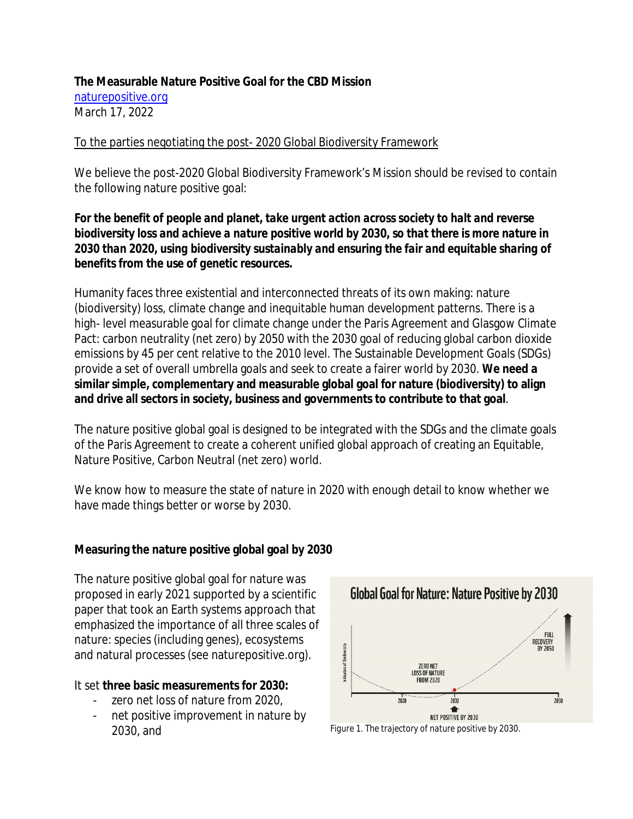### **The Measurable Nature Positive Goal for the CBD Mission** [naturepositive.org](file:///C:\Users\kswindells\Downloads\naturepositive.org) March 17, 2022

## To the parties negotiating the post- 2020 Global Biodiversity Framework

We believe the post-2020 Global Biodiversity Framework's Mission should be revised to contain the following nature positive goal:

*For the benefit of people and planet, take urgent action across society to halt and reverse biodiversity loss and achieve a nature positive world by 2030, so that there is more nature in 2030 than 2020, using biodiversity sustainably and ensuring the fair and equitable sharing of benefits from the use of genetic resources.*

Humanity faces three existential and interconnected threats of its own making: nature (biodiversity) loss, climate change and inequitable human development patterns. There is a high- level measurable goal for climate change under the Paris Agreement and Glasgow Climate Pact: carbon neutrality (net zero) by 2050 with the 2030 goal of reducing global carbon dioxide emissions by 45 per cent relative to the 2010 level. The Sustainable Development Goals (SDGs) provide a set of overall umbrella goals and seek to create a fairer world by 2030. **We need a similar simple, complementary and measurable global goal for nature (biodiversity) to align and drive all sectors in society, business and governments to contribute to that goal**.

The nature positive global goal is designed to be integrated with the SDGs and the climate goals of the Paris Agreement to create a coherent unified global approach of creating an Equitable, Nature Positive, Carbon Neutral (net zero) world.

We know how to measure the state of nature in 2020 with enough detail to know whether we have made things better or worse by 2030.

**Measuring the nature positive global goal by 2030**

The nature positive global goal for nature was proposed in early 2021 supported by a scientific paper that took an Earth systems approach that emphasized the importance of all three scales of nature: species (including genes), ecosystems and natural processes (see naturepositive.org).

It set **three basic measurements for 2030:**

- zero net loss of nature from 2020.
- net positive improvement in nature by 2030, and *Figure 1. The trajectory of nature positive by 2030.*

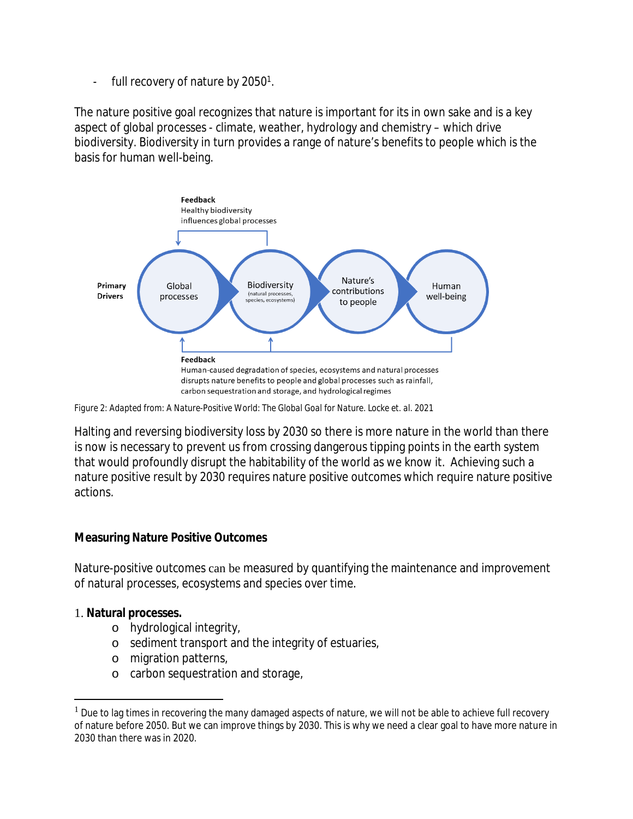full recovery of nature by  $2050<sup>1</sup>$ .

The nature positive goal recognizes that nature is important for its in own sake and is a key aspect of global processes - climate, weather, hydrology and chemistry – which drive biodiversity. Biodiversity in turn provides a range of nature's benefits to people which is the basis for human well-being.



*Figure 2: Adapted from: A Nature-Positive World: The Global Goal for Nature. Locke et. al. 2021*

Halting and reversing biodiversity loss by 2030 so there is more nature in the world than there is now is necessary to prevent us from crossing dangerous tipping points in the earth system that would profoundly disrupt the habitability of the world as we know it. Achieving such a nature positive result by 2030 requires nature positive outcomes which require nature positive actions.

**Measuring Nature Positive Outcomes**

Nature-positive outcomes can be measured by quantifying the maintenance and improvement of natural processes, ecosystems and species over time.

### 1. **Natural processes.**

- o hydrological integrity,
- o sediment transport and the integrity of estuaries,
- o migration patterns,
- o carbon sequestration and storage,

 $<sup>1</sup>$  Due to lag times in recovering the many damaged aspects of nature, we will not be able to achieve full recovery</sup> of nature before 2050. But we can improve things by 2030. This is why we need a clear goal to have more nature in 2030 than there was in 2020.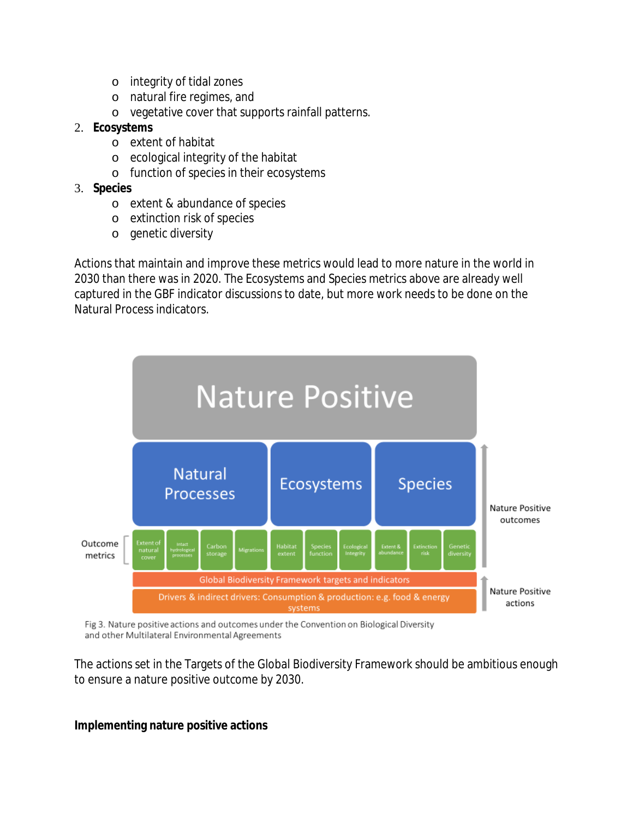- o integrity of tidal zones
- o natural fire regimes, and
- o vegetative cover that supports rainfall patterns.
- 2. **Ecosystems**
	- o extent of habitat
	- o ecological integrity of the habitat
	- o function of species in their ecosystems
- 3. **Species**
	- o extent & abundance of species
	- o extinction risk of species
	- o genetic diversity

Actions that maintain and improve these metrics would lead to more nature in the world in 2030 than there was in 2020. The Ecosystems and Species metrics above are already well captured in the GBF indicator discussions to date, but more work needs to be done on the Natural Process indicators.



Fig 3. Nature positive actions and outcomes under the Convention on Biological Diversity and other Multilateral Environmental Agreements

The actions set in the Targets of the Global Biodiversity Framework should be ambitious enough to ensure a nature positive outcome by 2030.

**Implementing nature positive actions**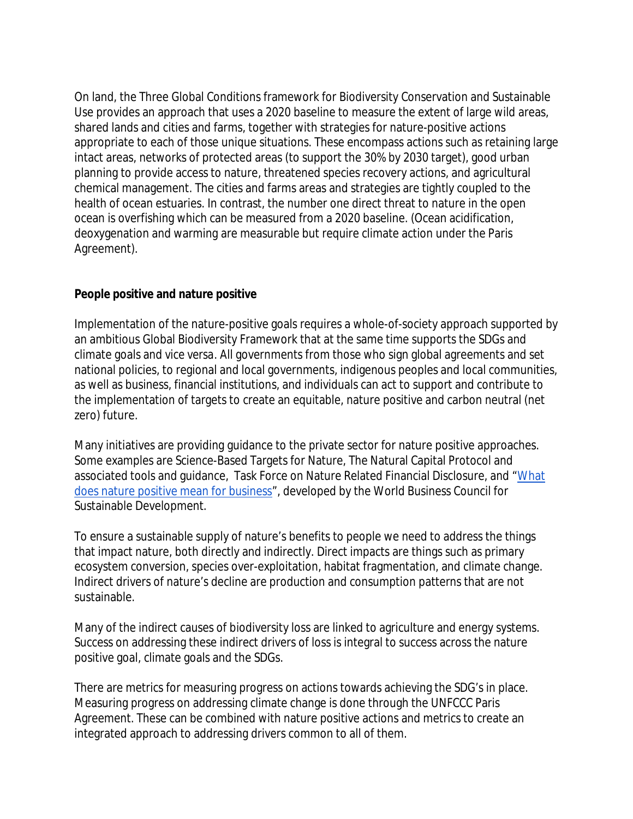On land, the Three Global Conditions framework for Biodiversity Conservation and Sustainable Use provides an approach that uses a 2020 baseline to measure the extent of large wild areas, shared lands and cities and farms, together with strategies for nature-positive actions appropriate to each of those unique situations. These encompass actions such as retaining large intact areas, networks of protected areas (to support the 30% by 2030 target), good urban planning to provide access to nature, threatened species recovery actions, and agricultural chemical management. The cities and farms areas and strategies are tightly coupled to the health of ocean estuaries. In contrast, the number one direct threat to nature in the open ocean is overfishing which can be measured from a 2020 baseline. (Ocean acidification, deoxygenation and warming are measurable but require climate action under the Paris Agreement).

# **People positive and nature positive**

Implementation of the nature-positive goals requires a whole-of-society approach supported by an ambitious Global Biodiversity Framework that at the same time supports the SDGs and climate goals and *vice versa*. All governments from those who sign global agreements and set national policies, to regional and local governments, indigenous peoples and local communities, as well as business, financial institutions, and individuals can act to support and contribute to the implementation of targets to create an equitable, nature positive and carbon neutral (net zero) future.

Many initiatives are providing guidance to the private sector for nature positive approaches. Some examples are Science-Based Targets for Nature, The Natural Capital Protocol and associated tools and guidance, Task Force on Nature Related Financial Disclosure, and ["What](https://www.wbcsd.org/Programs/Food-and-Nature/Nature/Nature-Action/Resources/What-does-nature-positive-mean-for-business) [does nature positive mean for business"](https://www.wbcsd.org/Programs/Food-and-Nature/Nature/Nature-Action/Resources/What-does-nature-positive-mean-for-business), developed by the World Business Council for Sustainable Development.

To ensure a sustainable supply of nature's benefits to people we need to address the things that impact nature, both directly and indirectly. Direct impacts are things such as primary ecosystem conversion, species over-exploitation, habitat fragmentation, and climate change. Indirect drivers of nature's decline are production and consumption patterns that are not sustainable.

Many of the indirect causes of biodiversity loss are linked to agriculture and energy systems. Success on addressing these indirect drivers of loss is integral to success across the nature positive goal, climate goals and the SDGs.

There are metrics for measuring progress on actions towards achieving the SDG's in place. Measuring progress on addressing climate change is done through the UNFCCC Paris Agreement. These can be combined with nature positive actions and metrics to create an integrated approach to addressing drivers common to all of them.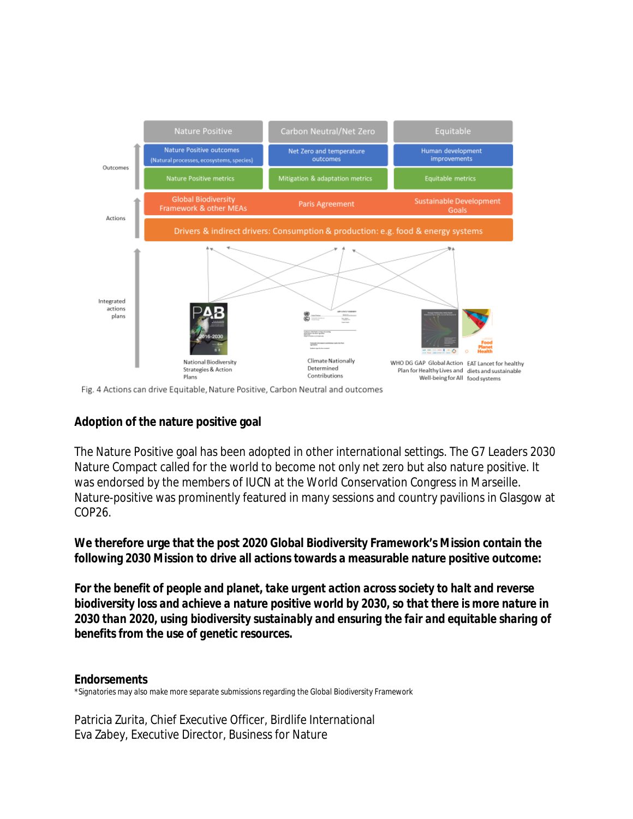

Fig. 4 Actions can drive Equitable, Nature Positive, Carbon Neutral and outcomes

### **Adoption of the nature positive goal**

The Nature Positive goal has been adopted in other international settings. The G7 Leaders 2030 Nature Compact called for the world to become not only net zero but also nature positive. It was endorsed by the members of IUCN at the World Conservation Congress in Marseille. Nature-positive was prominently featured in many sessions and country pavilions in Glasgow at COP26.

**We therefore urge that the post 2020 Global Biodiversity Framework's Mission contain the following 2030 Mission to drive all actions towards a measurable nature positive outcome:**

*For the benefit of people and planet, take urgent action across society to halt and reverse biodiversity loss and achieve a nature positive world by 2030, so that there is more nature in 2030 than 2020, using biodiversity sustainably and ensuring the fair and equitable sharing of benefits from the use of genetic resources.*

### *Endorsements*

*\*Signatories may also make more separate submissions regarding the Global Biodiversity Framework*

Patricia Zurita, Chief Executive Officer, Birdlife International Eva Zabey, Executive Director, Business for Nature